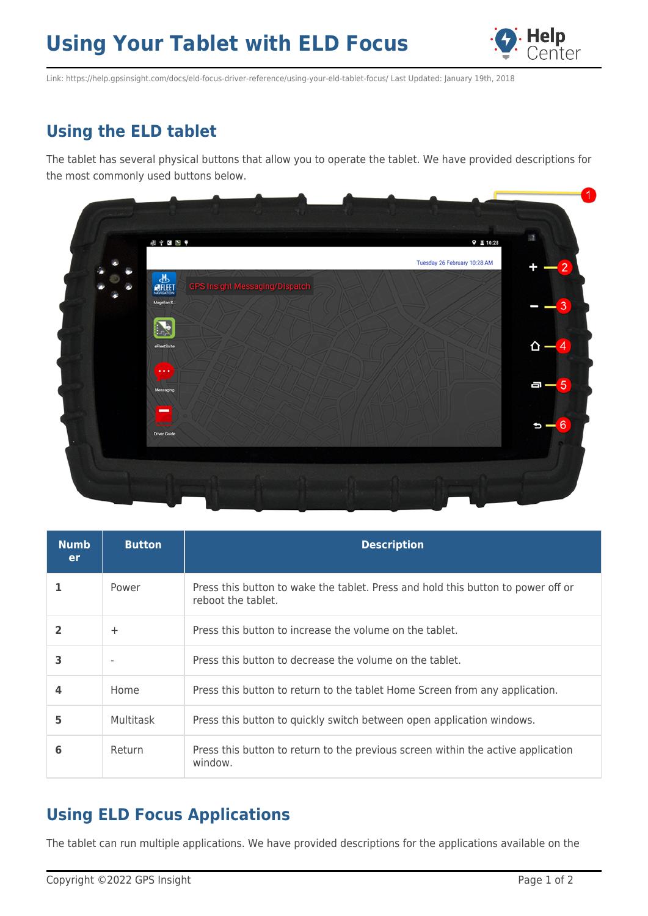## **Using Your Tablet with ELD Focus**



Link: https://help.gpsinsight.com/docs/eld-focus-driver-reference/using-your-eld-tablet-focus/ Last Updated: January 19th, 2018

## **Using the ELD tablet**

The tablet has several physical buttons that allow you to operate the tablet. We have provided descriptions for the most commonly used buttons below.



| <b>Numb</b><br><b>er</b> | <b>Button</b> | <b>Description</b>                                                                                     |
|--------------------------|---------------|--------------------------------------------------------------------------------------------------------|
|                          | Power         | Press this button to wake the tablet. Press and hold this button to power off or<br>reboot the tablet. |
|                          | $\pm$         | Press this button to increase the volume on the tablet.                                                |
| 3                        |               | Press this button to decrease the volume on the tablet.                                                |
|                          | Home          | Press this button to return to the tablet Home Screen from any application.                            |
| 5                        | Multitask     | Press this button to quickly switch between open application windows.                                  |
| 6                        | Return        | Press this button to return to the previous screen within the active application<br>window.            |

## **Using ELD Focus Applications**

The tablet can run multiple applications. We have provided descriptions for the applications available on the